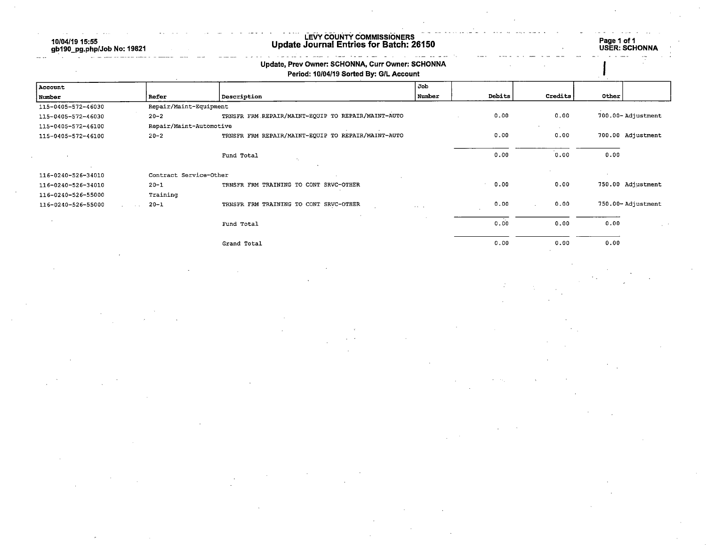10/04/19 15:55 gb190\_pg.php/Job No: 19821 LEVY COUNTY COMMISSIONERS Update Journal Entries for Batch: 26150 Page 1 of 1 Page 1 of 1<br>USER: SCHONNA Update, Prev Owner: SCHONNA, Curr Owner: SCHONNA Period: 10/04/19 Sorted By: G/L Account Account and the set of the set of the set of the set of the set of the set of the set of the set of the set of the set of the set of the set of the set of the set of the set of the set of the set of the set of the set of t Nunber Refer Description Nuzober Debits Credits Other 115-0405-572-46030 Repair/Maint-Equipment 115-0405-572-46030 20-2 TRNSFR FRM REPAIR/MAINT-EQUIP TO REPAIR/MAINT-AUTO 0.00 0.00 700.00- Adjustment 115-0405-572-46100 Repair/Maint-Autbraotive 115-0405-572-46100 20-2 TRNSFR FRM REPAIR/MAINT-EQUIP TO REPAIR/MAINT-AUTO 0.00 0.00 700.00 Adjustment Fund Total 0.00 0.00 0.00 116-0240-526-34010 Contract Service-Other 116-0240-526-34010 20-1 TRNSFR FRM TRAINING TO CONT SRVC-OTHER 0.00 0.00 750.00 Adjustment 116-0240-526-55000 Training

116-0240-526-55000 20-1 TRNSFR FRM TRAINING TO CONT SRVC-OTHER O.OG 0.00 750.00- Adjustment

Fund Total o.o'o 0.00 0.00 Grand Total 0.00 0.00 0.00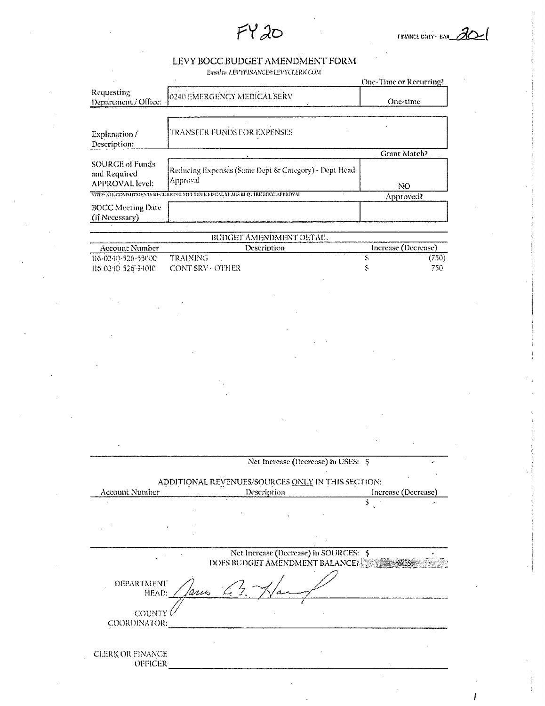$FY20$ 

## LEVY BOCC BUDGET AMENDMENT FORM

Email to: LEVYFINANCE@LEVYCLERK COM

|                                                           |                                                                                | One-Time or Recurring?   |
|-----------------------------------------------------------|--------------------------------------------------------------------------------|--------------------------|
| Requesting<br>Department / Office:                        | 0240 EMERGENCY MEDICAL SERV                                                    | One-time                 |
|                                                           |                                                                                |                          |
| Explanation/<br>Description:                              | TRANSFER FUNDS FOR EXPENSES                                                    |                          |
|                                                           |                                                                                | Grant Match?             |
| <b>SOURCE of Funds</b><br>and Required<br>APPROVAL level: | Reducing Expenses (Same Dept & Category) - Dept Head<br>Approval               | NO.                      |
|                                                           | NOTE: ALL COMMITMENTS RECURRING MET TIPI E FISCAL YEARS REQUIRE BIXY, APPROVAL | Approved?                |
| <b>BOCC Meeting Date</b><br>(if Necessary)                | $\lambda$                                                                      |                          |
|                                                           |                                                                                |                          |
|                                                           | BUDGET AMENDMENT DETAIL                                                        |                          |
| Account Number<br>116-0240-526-55000                      | Description<br><b>TRAINING</b>                                                 | Increase (Decrease)<br>Ŝ |
| 115-0240-526-34010                                        |                                                                                | (750)<br>Š,<br>750.      |
|                                                           | <b>CONT SRV - OTHER</b>                                                        |                          |
|                                                           |                                                                                |                          |
|                                                           |                                                                                |                          |
|                                                           |                                                                                |                          |
|                                                           |                                                                                |                          |
|                                                           |                                                                                |                          |
|                                                           |                                                                                |                          |
|                                                           |                                                                                |                          |
|                                                           |                                                                                |                          |
|                                                           |                                                                                |                          |
|                                                           |                                                                                |                          |
|                                                           |                                                                                |                          |
|                                                           |                                                                                |                          |
|                                                           |                                                                                |                          |
|                                                           |                                                                                |                          |
|                                                           |                                                                                |                          |
|                                                           |                                                                                |                          |
|                                                           |                                                                                |                          |
|                                                           |                                                                                |                          |
|                                                           | Net Increase (Decrease) in USES: \$                                            |                          |
|                                                           |                                                                                |                          |
|                                                           | ADDITIONAL REVENUES/SOURCES ONLY IN THIS SECTION:                              |                          |
| Account Number                                            | Description                                                                    | Increase (Decrease)      |
|                                                           |                                                                                | Ś,                       |
|                                                           |                                                                                |                          |
|                                                           |                                                                                |                          |
|                                                           |                                                                                |                          |
|                                                           |                                                                                |                          |
|                                                           | Net Increase (Decrease) in SOURCES: \$                                         |                          |
|                                                           | DOES BUDGET AMENDMENT BALANCE?                                                 |                          |
|                                                           |                                                                                |                          |
| DEPARTMENT<br>HEAD:                                       | 'mus                                                                           |                          |
|                                                           |                                                                                |                          |
| COUNTY                                                    |                                                                                |                          |
| COORDINATOR:                                              |                                                                                |                          |
|                                                           |                                                                                |                          |
|                                                           |                                                                                |                          |
| CLERK OR FINANCE                                          |                                                                                |                          |
| OFFICER                                                   |                                                                                |                          |
|                                                           |                                                                                |                          |

 $\mathbf{I}$